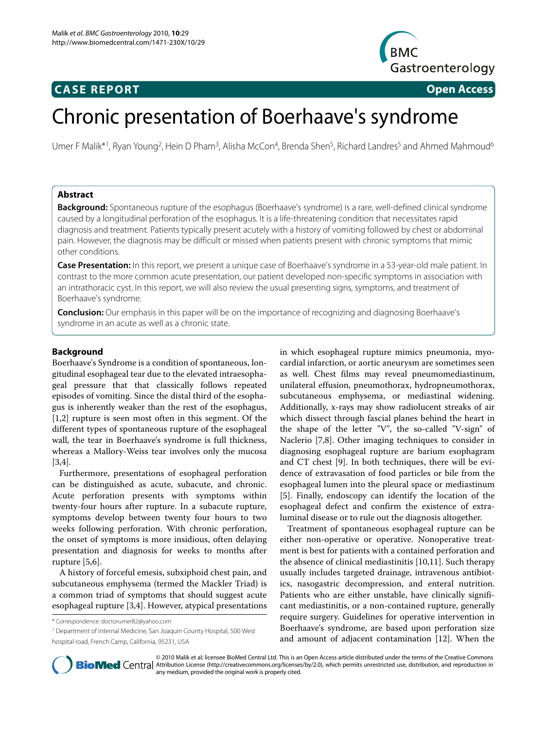# **CASE REPORT Open Access**



# Chronic presentation of Boerhaave's syndrome

Umer F Malik\*<sup>1</sup>, Ryan Young<sup>2</sup>, Hein D Pham<sup>3</sup>, Alisha McCon<sup>4</sup>, Brenda Shen<sup>5</sup>, Richard Landres<sup>5</sup> and Ahmed Mahmoud<sup>6</sup>

# **Abstract**

**Background:** Spontaneous rupture of the esophagus (Boerhaave's syndrome) is a rare, well-defined clinical syndrome caused by a longitudinal perforation of the esophagus. It is a life-threatening condition that necessitates rapid diagnosis and treatment. Patients typically present acutely with a history of vomiting followed by chest or abdominal pain. However, the diagnosis may be difficult or missed when patients present with chronic symptoms that mimic other conditions.

**Case Presentation:** In this report, we present a unique case of Boerhaave's syndrome in a 53-year-old male patient. In contrast to the more common acute presentation, our patient developed non-specific symptoms in association with an intrathoracic cyst. In this report, we will also review the usual presenting signs, symptoms, and treatment of Boerhaave's syndrome.

**Conclusion:** Our emphasis in this paper will be on the importance of recognizing and diagnosing Boerhaave's syndrome in an acute as well as a chronic state.

# **Background**

Boerhaave's Syndrome is a condition of spontaneous, longitudinal esophageal tear due to the elevated intraesophageal pressure that that classically follows repeated episodes of vomiting. Since the distal third of the esophagus is inherently weaker than the rest of the esophagus, [[1,](#page-1-0)[2\]](#page-1-1) rupture is seen most often in this segment. Of the different types of spontaneous rupture of the esophageal wall, the tear in Boerhaave's syndrome is full thickness, whereas a Mallory-Weiss tear involves only the mucosa [[3,](#page-1-2)[4\]](#page-1-3).

Furthermore, presentations of esophageal perforation can be distinguished as acute, subacute, and chronic. Acute perforation presents with symptoms within twenty-four hours after rupture. In a subacute rupture, symptoms develop between twenty four hours to two weeks following perforation. With chronic perforation, the onset of symptoms is more insidious, often delaying presentation and diagnosis for weeks to months after rupture [\[5](#page-1-4)[,6](#page-1-5)].

A history of forceful emesis, subxiphoid chest pain, and subcutaneous emphysema (termed the Mackler Triad) is a common triad of symptoms that should suggest acute esophageal rupture [[3,](#page-1-2)[4\]](#page-1-3). However, atypical presentations

<sup>1</sup> Department of Internal Medicine, San Joaquin County Hospital, 500 West hospital road, French Camp, California, 95231, USA

in which esophageal rupture mimics pneumonia, myocardial infarction, or aortic aneurysm are sometimes seen as well. Chest films may reveal pneumomediastinum, unilateral effusion, pneumothorax, hydropneumothorax, subcutaneous emphysema, or mediastinal widening. Additionally, x-rays may show radiolucent streaks of air which dissect through fascial planes behind the heart in the shape of the letter "V", the so-called "V-sign" of Naclerio [\[7](#page-1-6),[8](#page-1-7)]. Other imaging techniques to consider in diagnosing esophageal rupture are barium esophagram and CT chest [\[9](#page-1-8)]. In both techniques, there will be evidence of extravasation of food particles or bile from the esophageal lumen into the pleural space or mediastinum [[5\]](#page-1-4). Finally, endoscopy can identify the location of the esophageal defect and confirm the existence of extraluminal disease or to rule out the diagnosis altogether.

Treatment of spontaneous esophageal rupture can be either non-operative or operative. Nonoperative treatment is best for patients with a contained perforation and the absence of clinical mediastinitis [\[10](#page-1-9)[,11](#page-1-10)]. Such therapy usually includes targeted drainage, intravenous antibiotics, nasogastric decompression, and enteral nutrition. Patients who are either unstable, have clinically significant mediastinitis, or a non-contained rupture, generally require surgery. Guidelines for operative intervention in Boerhaave's syndrome, are based upon perforation size and amount of adjacent contamination [[12\]](#page-2-0). When the



© 2010 Malik et al; licensee BioMed Central Ltd. This is an Open Access article distributed under the terms of the Creative Commons **BioMed** Central Attribution License (http://creativecommons.org/licenses/by/2.0), which permits unrestricted use, distribution, and reproduction in any medium, provided the original work is properly cited.

<sup>\*</sup> Correspondence: doctorumer82@yahoo.com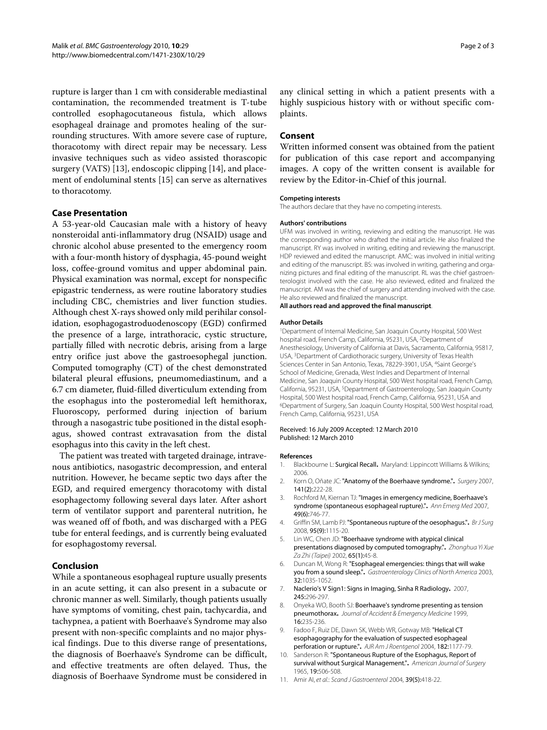rupture is larger than 1 cm with considerable mediastinal contamination, the recommended treatment is T-tube controlled esophagocutaneous fistula, which allows esophageal drainage and promotes healing of the surrounding structures. With amore severe case of rupture, thoracotomy with direct repair may be necessary. Less invasive techniques such as video assisted thorascopic surgery (VATS) [[13\]](#page-2-1), endoscopic clipping [\[14](#page-2-2)], and placement of endoluminal stents [[15](#page-2-3)] can serve as alternatives to thoracotomy.

# **Case Presentation**

A 53-year-old Caucasian male with a history of heavy nonsteroidal anti-inflammatory drug (NSAID) usage and chronic alcohol abuse presented to the emergency room with a four-month history of dysphagia, 45-pound weight loss, coffee-ground vomitus and upper abdominal pain. Physical examination was normal, except for nonspecific epigastric tenderness, as were routine laboratory studies including CBC, chemistries and liver function studies. Although chest X-rays showed only mild perihilar consolidation, esophagogastroduodenoscopy (EGD) confirmed the presence of a large, intrathoracic, cystic structure, partially filled with necrotic debris, arising from a large entry orifice just above the gastroesophegal junction. Computed tomography (CT) of the chest demonstrated bilateral pleural effusions, pneumomediastinum, and a 6.7 cm diameter, fluid-filled diverticulum extending from the esophagus into the posteromedial left hemithorax, Fluoroscopy, performed during injection of barium through a nasogastric tube positioned in the distal esophagus, showed contrast extravasation from the distal esophagus into this cavity in the left chest.

The patient was treated with targeted drainage, intravenous antibiotics, nasogastric decompression, and enteral nutrition. However, he became septic two days after the EGD, and required emergency thoracotomy with distal esophagectomy following several days later. After ashort term of ventilator support and parenteral nutrition, he was weaned off of fboth, and was discharged with a PEG tube for enteral feedings, and is currently being evaluated for esophagostomy reversal.

## **Conclusion**

While a spontaneous esophageal rupture usually presents in an acute setting, it can also present in a subacute or chronic manner as well. Similarly, though patients usually have symptoms of vomiting, chest pain, tachycardia, and tachypnea, a patient with Boerhaave's Syndrome may also present with non-specific complaints and no major physical findings. Due to this diverse range of presentations, the diagnosis of Boerhaave's Syndrome can be difficult, and effective treatments are often delayed. Thus, the diagnosis of Boerhaave Syndrome must be considered in

any clinical setting in which a patient presents with a highly suspicious history with or without specific complaints.

# **Consent**

Written informed consent was obtained from the patient for publication of this case report and accompanying images. A copy of the written consent is available for review by the Editor-in-Chief of this journal.

#### **Competing interests**

The authors declare that they have no competing interests.

#### **Authors' contributions**

UFM was involved in writing, reviewing and editing the manuscript. He was the corresponding author who drafted the initial article. He also finalized the manuscript. RY was involved in writing, editing and reviewing the manuscript. HDP reviewed and edited the manuscript. AMC: was involved in initial writing and editing of the manuscript. BS: was involved in writing, gathering and organizing pictures and final editing of the manuscript. RL was the chief gastroenterologist involved with the case. He also reviewed, edited and finalized the manuscript. AM was the chief of surgery and attending involved with the case. He also reviewed and finalized the manuscript.

#### **All authors read and approved the final manuscript**.

#### **Author Details**

1Department of Internal Medicine, San Joaquin County Hospital, 500 West hospital road, French Camp, California, 95231, USA, 2Department of Anesthesiology, University of California at Davis, Sacramento, California, 95817, USA, 3Department of Cardiothoracic surgery, University of Texas Health Sciences Center in San Antonio, Texas, 78229-3901, USA, 4Saint George's School of Medicine, Grenada, West Indies and Department of Internal Medicine, San Joaquin County Hospital, 500 West hospital road, French Camp, California, 95231, USA, 5Department of Gastroenterology, San Joaquin County Hospital, 500 West hospital road, French Camp, California, 95231, USA and 6Department of Surgery, San Joaquin County Hospital, 500 West hospital road, French Camp, California, 95231, USA

#### Received: 16 July 2009 Accepted: 12 March 2010 Published: 12 March 2010

#### **References**

- <span id="page-1-0"></span>1. Blackbourne L: Surgical Recall**.** Maryland: Lippincott Williams & Wilkins; 2006.
- <span id="page-1-1"></span>2. Korn O, Oñate JC: "Anatomy of the Boerhaave syndrome."**[.](http://www.ncbi.nlm.nih.gov/entrez/query.fcgi?cmd=Retrieve&db=PubMed&dopt=Abstract&list_uids=17263979)** Surgery 2007, 141(2):222-28.
- <span id="page-1-2"></span>3. Rochford M, Kiernan TJ: "Images in emergency medicine, Boerhaave's syndrome (spontaneous esophageal rupture)."**.** Ann Emerg Med 2007, 49(6):746-77.
- <span id="page-1-3"></span>4. Griffin SM, Lamb PJ: "Spontaneous rupture of the oesophagus."**.** Br J Surg 2008, 95(9):1115-20.
- <span id="page-1-4"></span>5. Lin WC, Chen JD: "Boerhaave syndrome with atypical clinical presentations diagnosed by computed tomography."**.** Zhonghua Yi Xue Za Zhi (Taipei) 2002, 65(1):45-8.
- <span id="page-1-5"></span>6. Duncan M, Wong R: "Esophageal emergencies: things that will wake you from a sound sleep."**[.](http://www.ncbi.nlm.nih.gov/entrez/query.fcgi?cmd=Retrieve&db=PubMed&dopt=Abstract&list_uids=14696296)** Gastroenterology Clinics of North America 2003, 32:1035-1052.
- <span id="page-1-6"></span>7. Naclerio's V Sign1: Signs in Imaging, Sinha R Radiology**.** 2007, 245:296-297.
- <span id="page-1-7"></span>8. Onyeka WO, Booth SJ: Boerhaave's syndrome presenting as tension pneumothorax**.** Journal of Accident & Emergency Medicine 1999, 16:235-236.
- <span id="page-1-8"></span>9. Fadoo F, Ruiz DE, Dawn SK, Webb WR, Gotway MB: "Helical CT esophagography for the evaluation of suspected esophageal perforation or rupture."**.** AJR Am J Roentgenol 2004, 182:1177-79.
- <span id="page-1-9"></span>10. Sanderson R: "Spontaneous Rupture of the Esophagus, Report of survival without Surgical Management."**.** American Journal of Surgery 1965, 19:506-508.
- <span id="page-1-10"></span>11. Amir Al, et al.: Scand J Gastroenterol 2004, 39(5):418-22.